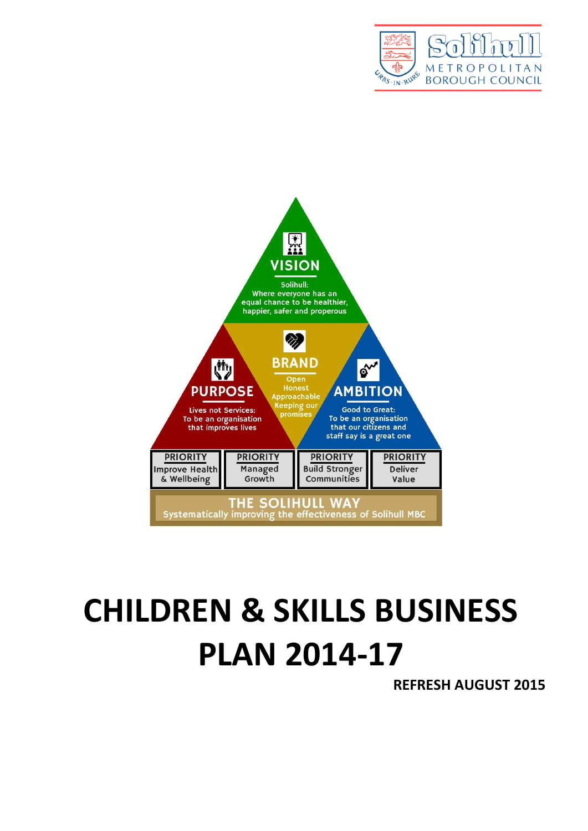



# **CHILDREN & SKILLS BUSINESS PLAN 2014-17**

**REFRESH AUGUST 2015**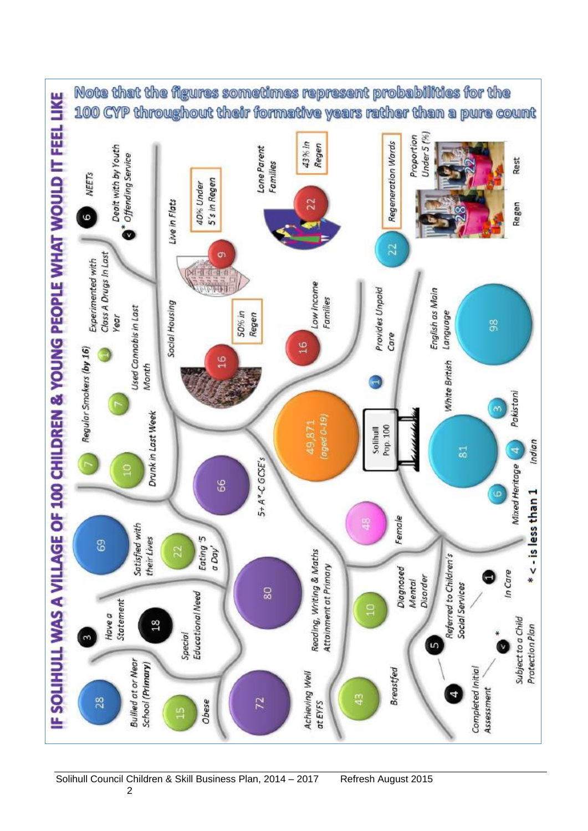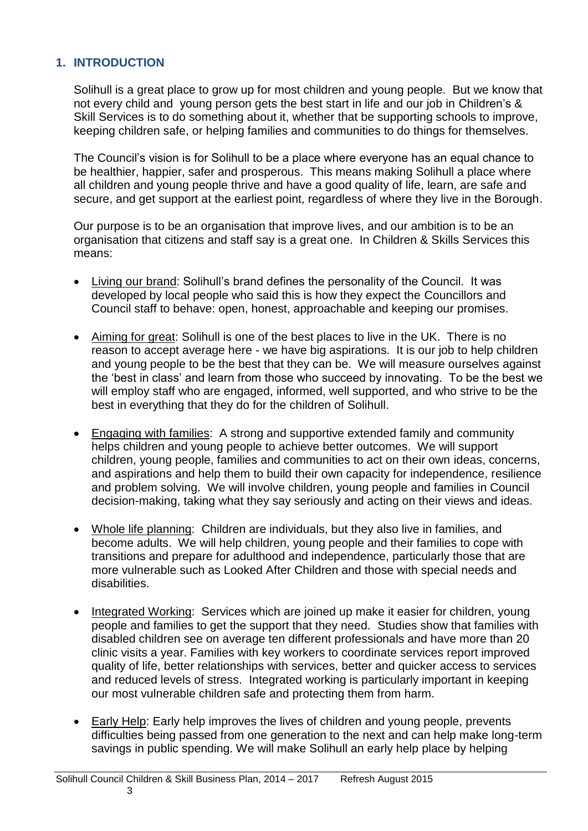#### **1. INTRODUCTION**

Solihull is a great place to grow up for most children and young people. But we know that not every child and young person gets the best start in life and our job in Children's & Skill Services is to do something about it, whether that be supporting schools to improve, keeping children safe, or helping families and communities to do things for themselves.

The Council's vision is for Solihull to be a place where everyone has an equal chance to be healthier, happier, safer and prosperous. This means making Solihull a place where all children and young people thrive and have a good quality of life, learn, are safe and secure, and get support at the earliest point, regardless of where they live in the Borough.

Our purpose is to be an organisation that improve lives, and our ambition is to be an organisation that citizens and staff say is a great one. In Children & Skills Services this means:

- Living our brand: Solihull's brand defines the personality of the Council. It was developed by local people who said this is how they expect the Councillors and Council staff to behave: open, honest, approachable and keeping our promises.
- Aiming for great: Solihull is one of the best places to live in the UK. There is no reason to accept average here - we have big aspirations. It is our job to help children and young people to be the best that they can be. We will measure ourselves against the 'best in class' and learn from those who succeed by innovating. To be the best we will employ staff who are engaged, informed, well supported, and who strive to be the best in everything that they do for the children of Solihull.
- Engaging with families: A strong and supportive extended family and community helps children and young people to achieve better outcomes. We will support children, young people, families and communities to act on their own ideas, concerns, and aspirations and help them to build their own capacity for independence, resilience and problem solving. We will involve children, young people and families in Council decision-making, taking what they say seriously and acting on their views and ideas.
- Whole life planning: Children are individuals, but they also live in families, and become adults. We will help children, young people and their families to cope with transitions and prepare for adulthood and independence, particularly those that are more vulnerable such as Looked After Children and those with special needs and disabilities.
- Integrated Working: Services which are joined up make it easier for children, young people and families to get the support that they need. Studies show that families with disabled children see on average ten different professionals and have more than 20 clinic visits a year. Families with key workers to coordinate services report improved quality of life, better relationships with services, better and quicker access to services and reduced levels of stress. Integrated working is particularly important in keeping our most vulnerable children safe and protecting them from harm.
- Early Help: Early help improves the lives of children and young people, prevents difficulties being passed from one generation to the next and can help make long-term savings in public spending. We will make Solihull an early help place by helping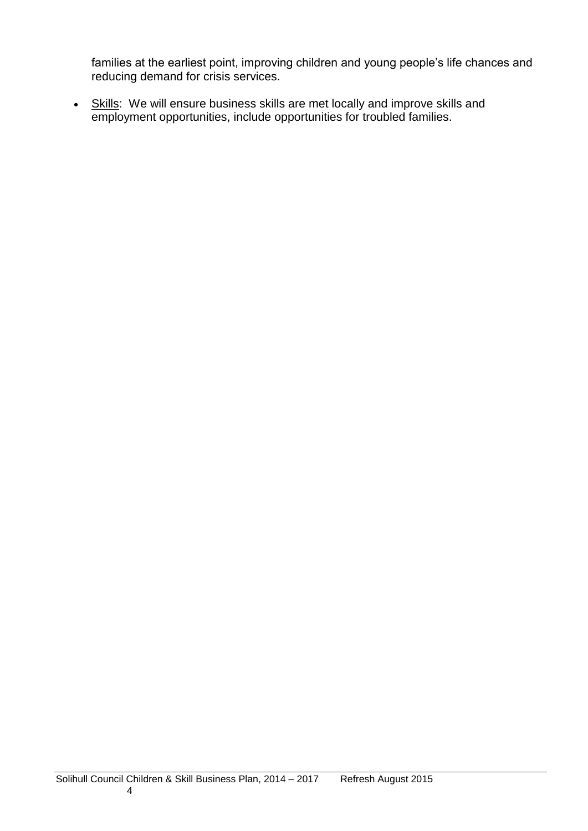families at the earliest point, improving children and young people's life chances and reducing demand for crisis services.

• Skills: We will ensure business skills are met locally and improve skills and employment opportunities, include opportunities for troubled families.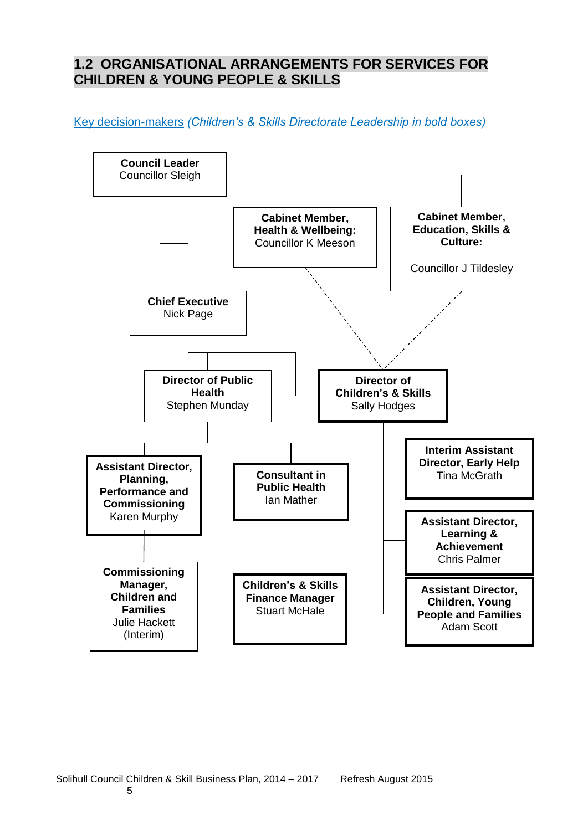# **1.2 ORGANISATIONAL ARRANGEMENTS FOR SERVICES FOR CHILDREN & YOUNG PEOPLE & SKILLS**

Key decision-makers *(Children's & Skills Directorate Leadership in bold boxes)*

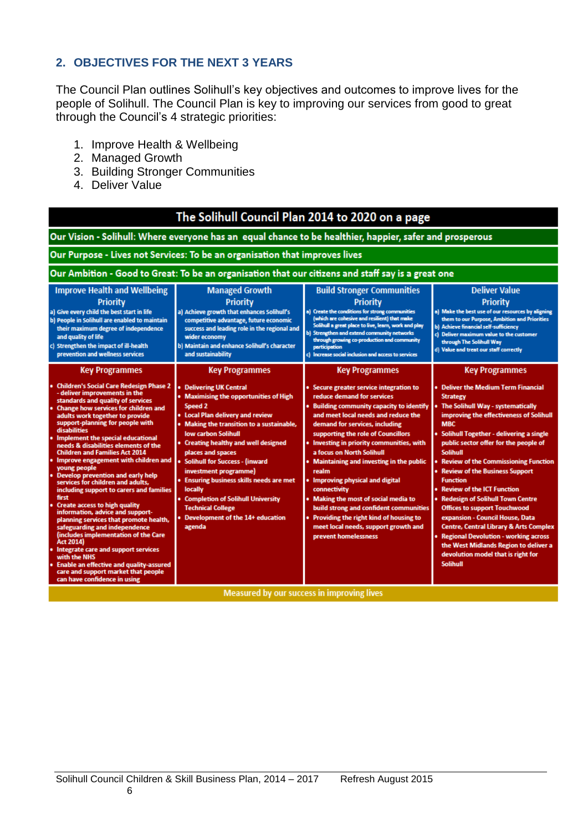### **2. OBJECTIVES FOR THE NEXT 3 YEARS**

The Council Plan outlines Solihull's key objectives and outcomes to improve lives for the people of Solihull. The Council Plan is key to improving our services from good to great through the Council's 4 strategic priorities:

- 1. Improve Health & Wellbeing
- 2. Managed Growth
- 3. Building Stronger Communities
- 4. Deliver Value

| The Solihull Council Plan 2014 to 2020 on a page                                                                                                                                                                                                                                                                                                                                                                                                                                                                                                                                                                                                                                                                                                                                                                                                                                                                                                                                                           |                                                                                                                                                                                                                                                                                                                                                                                                                                                                                                                             |                                                                                                                                                                                                                                                                                                                                                                                                                                                                                                                                                                                                                                                   |                                                                                                                                                                                                                                                                                                                                                                                                                                                                                                                                                                                                                                                                                                                                                   |  |
|------------------------------------------------------------------------------------------------------------------------------------------------------------------------------------------------------------------------------------------------------------------------------------------------------------------------------------------------------------------------------------------------------------------------------------------------------------------------------------------------------------------------------------------------------------------------------------------------------------------------------------------------------------------------------------------------------------------------------------------------------------------------------------------------------------------------------------------------------------------------------------------------------------------------------------------------------------------------------------------------------------|-----------------------------------------------------------------------------------------------------------------------------------------------------------------------------------------------------------------------------------------------------------------------------------------------------------------------------------------------------------------------------------------------------------------------------------------------------------------------------------------------------------------------------|---------------------------------------------------------------------------------------------------------------------------------------------------------------------------------------------------------------------------------------------------------------------------------------------------------------------------------------------------------------------------------------------------------------------------------------------------------------------------------------------------------------------------------------------------------------------------------------------------------------------------------------------------|---------------------------------------------------------------------------------------------------------------------------------------------------------------------------------------------------------------------------------------------------------------------------------------------------------------------------------------------------------------------------------------------------------------------------------------------------------------------------------------------------------------------------------------------------------------------------------------------------------------------------------------------------------------------------------------------------------------------------------------------------|--|
| Our Vision - Solihull: Where everyone has an equal chance to be healthier, happier, safer and prosperous                                                                                                                                                                                                                                                                                                                                                                                                                                                                                                                                                                                                                                                                                                                                                                                                                                                                                                   |                                                                                                                                                                                                                                                                                                                                                                                                                                                                                                                             |                                                                                                                                                                                                                                                                                                                                                                                                                                                                                                                                                                                                                                                   |                                                                                                                                                                                                                                                                                                                                                                                                                                                                                                                                                                                                                                                                                                                                                   |  |
|                                                                                                                                                                                                                                                                                                                                                                                                                                                                                                                                                                                                                                                                                                                                                                                                                                                                                                                                                                                                            | Our Purpose - Lives not Services: To be an organisation that improves lives                                                                                                                                                                                                                                                                                                                                                                                                                                                 |                                                                                                                                                                                                                                                                                                                                                                                                                                                                                                                                                                                                                                                   |                                                                                                                                                                                                                                                                                                                                                                                                                                                                                                                                                                                                                                                                                                                                                   |  |
|                                                                                                                                                                                                                                                                                                                                                                                                                                                                                                                                                                                                                                                                                                                                                                                                                                                                                                                                                                                                            | Our Ambition - Good to Great: To be an organisation that our citizens and staff say is a great one                                                                                                                                                                                                                                                                                                                                                                                                                          |                                                                                                                                                                                                                                                                                                                                                                                                                                                                                                                                                                                                                                                   |                                                                                                                                                                                                                                                                                                                                                                                                                                                                                                                                                                                                                                                                                                                                                   |  |
| <b>Improve Health and Wellbeing</b><br><b>Priority</b><br>a) Give every child the best start in life<br>b) People in Solihull are enabled to maintain<br>their maximum degree of independence<br>and quality of life<br>c) Strengthen the impact of ill-health<br>prevention and wellness services                                                                                                                                                                                                                                                                                                                                                                                                                                                                                                                                                                                                                                                                                                         | <b>Managed Growth</b><br>Priority<br>a) Achieve growth that enhances Solihull's<br>competitive advantage, future economic<br>success and leading role in the regional and<br>wider economy<br>b) Maintain and enhance Solihull's character<br>and sustainability                                                                                                                                                                                                                                                            | <b>Build Stronger Communities</b><br><b>Priority</b><br>a) Create the conditions for strong communities<br>(which are cohesive and resilient) that make<br>Solihull a great place to live, learn, work and play<br>b) Strengthen and extend community networks<br>through growing co-production and community<br>participation<br>c) Increase social inclusion and access to services                                                                                                                                                                                                                                                             | <b>Deliver Value</b><br><b>Priority</b><br>a) Make the best use of our resources by aligning<br>them to our Purpose, Ambition and Priorities<br>b) Achieve financial self-sufficiency<br>c) Deliver maximum value to the customer<br>through The Solihull Way<br>d) Value and treat our staff correctly                                                                                                                                                                                                                                                                                                                                                                                                                                           |  |
| <b>Key Programmes</b><br><b>Children's Social Care Redesign Phase 2</b><br>- deliver improvements in the<br>standards and quality of services<br><b>Change how services for children and</b><br>adults work together to provide<br>support-planning for people with<br>disabilities<br><b>Implement the special educational</b><br>needs & disabilities elements of the<br><b>Children and Families Act 2014</b><br>Improve engagement with children and<br>young people<br><b>Develop prevention and early help</b><br>services for children and adults,<br>including support to carers and families<br>first<br><b>Create access to high quality</b><br>information, advice and support-<br>planning services that promote health,<br>safeguarding and independence<br>(includes implementation of the Care<br>Act 2014)<br>Integrate care and support services<br>with the NHS<br><b>Enable an effective and quality-assured</b><br>care and support market that people<br>can have confidence in using | <b>Key Programmes</b><br><b>Delivering UK Central</b><br>• Maximising the opportunities of High<br>Speed 2<br>• Local Plan delivery and review<br>• Making the transition to a sustainable,<br><b>Iow carbon Solihull</b><br>• Creating healthy and well designed<br>places and spaces<br>• Solihull for Success - (inward<br>investment programme)<br>• Ensuring business skills needs are met<br>locally<br>• Completion of Solihull University<br><b>Technical College</b><br>Development of the 14+ education<br>agenda | <b>Key Programmes</b><br>• Secure greater service integration to<br>reduce demand for services<br>. Building community capacity to identify<br>and meet local needs and reduce the<br>demand for services, including<br>supporting the role of Councillors<br>• Investing in priority communities, with<br>a focus on North Solihull<br><b>Maintaining and investing in the public</b><br>realm<br>. Improving physical and digital<br>connectivity<br>• Making the most of social media to<br>build strong and confident communities<br>• Providing the right kind of housing to<br>meet local needs, support growth and<br>prevent homelessness | <b>Key Programmes</b><br>• Deliver the Medium Term Financial<br><b>Strategy</b><br>The Solihull Way - systematically<br>improving the effectiveness of Solihull<br><b>MBC</b><br>• Solihull Together - delivering a single<br>public sector offer for the people of<br><b>Solihull</b><br><b>Review of the Commissioning Function</b><br>• Review of the Business Support<br><b>Function</b><br><b>Review of the ICT Function</b><br><b>Redesign of Solihull Town Centre</b><br><b>Offices to support Touchwood</b><br>expansion - Council House, Data<br>Centre, Central Library & Arts Complex<br><b>Regional Devolution - working across</b><br>the West Midlands Region to deliver a<br>devolution model that is right for<br><b>Solihull</b> |  |
| Measured by our success in improving lives                                                                                                                                                                                                                                                                                                                                                                                                                                                                                                                                                                                                                                                                                                                                                                                                                                                                                                                                                                 |                                                                                                                                                                                                                                                                                                                                                                                                                                                                                                                             |                                                                                                                                                                                                                                                                                                                                                                                                                                                                                                                                                                                                                                                   |                                                                                                                                                                                                                                                                                                                                                                                                                                                                                                                                                                                                                                                                                                                                                   |  |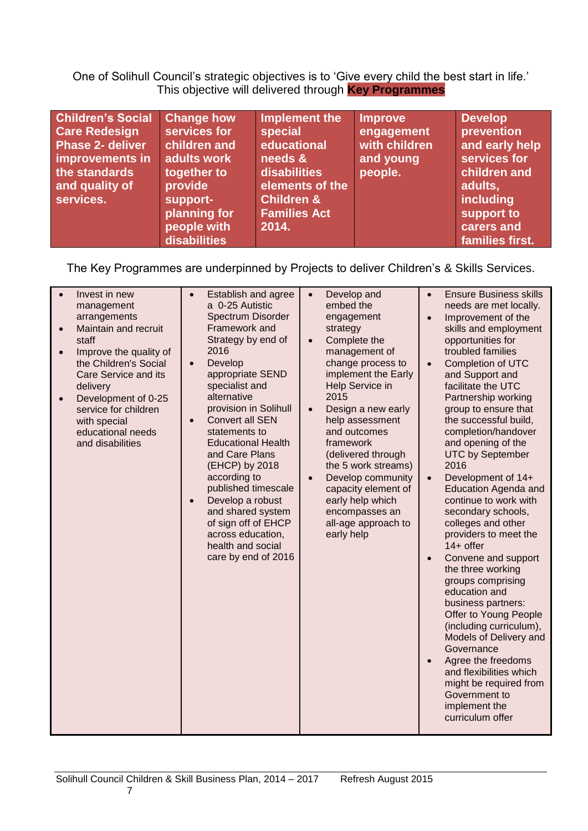One of Solihull Council's strategic objectives is to 'Give every child the best start in life.' This objective will delivered through **Key Programmes**

| <b>Children's Social</b><br><b>Change how</b><br><b>Care Redesign</b><br>services for<br><b>Phase 2- deliver</b><br>children and<br>adults work<br>improvements in<br>the standards<br>together to<br>provide<br>and quality of<br>services.<br>support-<br>planning for<br>people with<br>disabilities | Implement the<br>special<br>educational<br>needs &<br>disabilities<br>elements of the<br><b>Children &amp;</b><br><b>Families Act</b><br>2014. | <b>Improve</b><br>engagement<br>with children<br>and young<br>people. | <b>Develop</b><br>prevention<br>and early help<br>services for<br>children and<br>adults,<br>including<br>support to<br>carers and<br>families first. |
|---------------------------------------------------------------------------------------------------------------------------------------------------------------------------------------------------------------------------------------------------------------------------------------------------------|------------------------------------------------------------------------------------------------------------------------------------------------|-----------------------------------------------------------------------|-------------------------------------------------------------------------------------------------------------------------------------------------------|
|---------------------------------------------------------------------------------------------------------------------------------------------------------------------------------------------------------------------------------------------------------------------------------------------------------|------------------------------------------------------------------------------------------------------------------------------------------------|-----------------------------------------------------------------------|-------------------------------------------------------------------------------------------------------------------------------------------------------|

The Key Programmes are underpinned by Projects to deliver Children's & Skills Services.

| Invest in new<br>management<br>arrangements<br>Maintain and recruit<br>staff<br>Improve the quality of<br>$\bullet$<br>the Children's Social<br>Care Service and its<br>delivery<br>Development of 0-25<br>$\bullet$<br>service for children<br>with special<br>educational needs<br>and disabilities | Establish and agree<br>a 0-25 Autistic<br>Spectrum Disorder<br>Framework and<br>Strategy by end of<br>2016<br>Develop<br>$\bullet$<br>appropriate SEND<br>specialist and<br>alternative<br>provision in Solihull<br><b>Convert all SEN</b><br>statements to<br><b>Educational Health</b><br>and Care Plans<br>(EHCP) by 2018<br>according to<br>published timescale<br>Develop a robust<br>$\bullet$<br>and shared system<br>of sign off of EHCP<br>across education,<br>health and social<br>care by end of 2016 | Develop and<br>embed the<br>engagement<br>strategy<br>Complete the<br>$\bullet$<br>management of<br>change process to<br>implement the Early<br>Help Service in<br>2015<br>Design a new early<br>help assessment<br>and outcomes<br>framework<br>(delivered through<br>the 5 work streams)<br>Develop community<br>capacity element of<br>early help which<br>encompasses an<br>all-age approach to<br>early help | <b>Ensure Business skills</b><br>needs are met locally.<br>Improvement of the<br>$\bullet$<br>skills and employment<br>opportunities for<br>troubled families<br>Completion of UTC<br>and Support and<br>facilitate the UTC<br>Partnership working<br>group to ensure that<br>the successful build,<br>completion/handover<br>and opening of the<br><b>UTC by September</b><br>2016<br>Development of 14+<br><b>Education Agenda and</b><br>continue to work with<br>secondary schools,<br>colleges and other<br>providers to meet the<br>14+ offer<br>Convene and support<br>$\bullet$<br>the three working<br>groups comprising<br>education and<br>business partners:<br>Offer to Young People<br>(including curriculum),<br>Models of Delivery and<br>Governance<br>Agree the freedoms<br>and flexibilities which<br>might be required from<br>Government to<br>implement the<br>curriculum offer |
|-------------------------------------------------------------------------------------------------------------------------------------------------------------------------------------------------------------------------------------------------------------------------------------------------------|-------------------------------------------------------------------------------------------------------------------------------------------------------------------------------------------------------------------------------------------------------------------------------------------------------------------------------------------------------------------------------------------------------------------------------------------------------------------------------------------------------------------|-------------------------------------------------------------------------------------------------------------------------------------------------------------------------------------------------------------------------------------------------------------------------------------------------------------------------------------------------------------------------------------------------------------------|-------------------------------------------------------------------------------------------------------------------------------------------------------------------------------------------------------------------------------------------------------------------------------------------------------------------------------------------------------------------------------------------------------------------------------------------------------------------------------------------------------------------------------------------------------------------------------------------------------------------------------------------------------------------------------------------------------------------------------------------------------------------------------------------------------------------------------------------------------------------------------------------------------|
|-------------------------------------------------------------------------------------------------------------------------------------------------------------------------------------------------------------------------------------------------------------------------------------------------------|-------------------------------------------------------------------------------------------------------------------------------------------------------------------------------------------------------------------------------------------------------------------------------------------------------------------------------------------------------------------------------------------------------------------------------------------------------------------------------------------------------------------|-------------------------------------------------------------------------------------------------------------------------------------------------------------------------------------------------------------------------------------------------------------------------------------------------------------------------------------------------------------------------------------------------------------------|-------------------------------------------------------------------------------------------------------------------------------------------------------------------------------------------------------------------------------------------------------------------------------------------------------------------------------------------------------------------------------------------------------------------------------------------------------------------------------------------------------------------------------------------------------------------------------------------------------------------------------------------------------------------------------------------------------------------------------------------------------------------------------------------------------------------------------------------------------------------------------------------------------|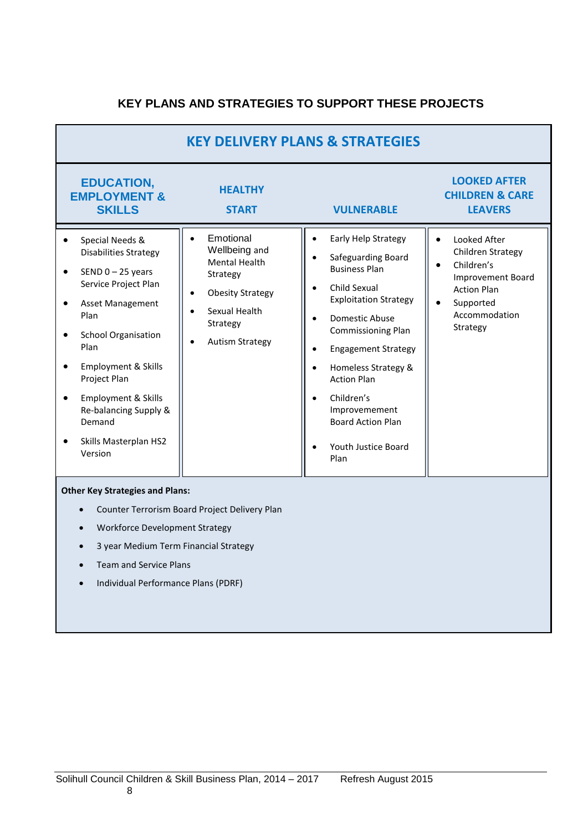# **KEY PLANS AND STRATEGIES TO SUPPORT THESE PROJECTS**

| <b>KEY DELIVERY PLANS &amp; STRATEGIES</b>                                                                                                                                                                                                                                                            |                                                                                                                                                                                                      |                                                                                                                                                                                                                                                                                                                                                    |                                                                                                                                                                       |  |
|-------------------------------------------------------------------------------------------------------------------------------------------------------------------------------------------------------------------------------------------------------------------------------------------------------|------------------------------------------------------------------------------------------------------------------------------------------------------------------------------------------------------|----------------------------------------------------------------------------------------------------------------------------------------------------------------------------------------------------------------------------------------------------------------------------------------------------------------------------------------------------|-----------------------------------------------------------------------------------------------------------------------------------------------------------------------|--|
| <b>EDUCATION,</b><br><b>EMPLOYMENT &amp;</b><br><b>SKILLS</b>                                                                                                                                                                                                                                         | <b>HEALTHY</b><br><b>START</b>                                                                                                                                                                       | <b>VULNERABLE</b>                                                                                                                                                                                                                                                                                                                                  | <b>LOOKED AFTER</b><br><b>CHILDREN &amp; CARE</b><br><b>LEAVERS</b>                                                                                                   |  |
| Special Needs &<br><b>Disabilities Strategy</b><br>SEND $0 - 25$ years<br>Service Project Plan<br>Asset Management<br>Plan<br><b>School Organisation</b><br>Plan<br>Employment & Skills<br>Project Plan<br>Employment & Skills<br>Re-balancing Supply &<br>Demand<br>Skills Masterplan HS2<br>Version | Emotional<br>$\bullet$<br>Wellbeing and<br><b>Mental Health</b><br>Strategy<br><b>Obesity Strategy</b><br>$\bullet$<br>Sexual Health<br>$\bullet$<br>Strategy<br><b>Autism Strategy</b><br>$\bullet$ | Early Help Strategy<br>Safeguarding Board<br><b>Business Plan</b><br>Child Sexual<br><b>Exploitation Strategy</b><br>Domestic Abuse<br><b>Commissioning Plan</b><br><b>Engagement Strategy</b><br>Homeless Strategy &<br><b>Action Plan</b><br>Children's<br>$\bullet$<br>Improvemement<br><b>Board Action Plan</b><br>Youth Justice Board<br>Plan | Looked After<br>Children Strategy<br>Children's<br>$\bullet$<br><b>Improvement Board</b><br><b>Action Plan</b><br>Supported<br>$\bullet$<br>Accommodation<br>Strategy |  |

#### **Other Key Strategies and Plans:**

- Counter Terrorism Board Project Delivery Plan
- Workforce Development Strategy
- 3 year Medium Term Financial Strategy
- Team and Service Plans
- Individual Performance Plans (PDRF)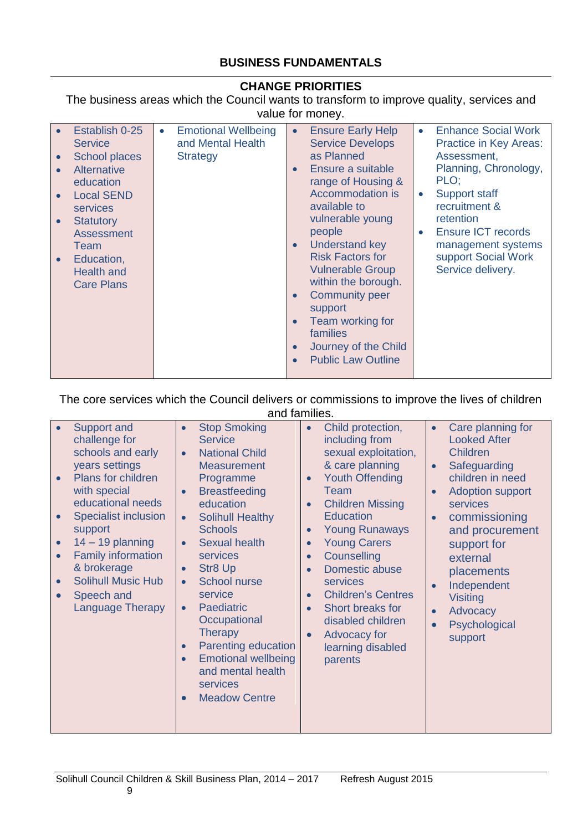#### **BUSINESS FUNDAMENTALS**

#### **CHANGE PRIORITIES**

The business areas which the Council wants to transform to improve quality, services and value for money.

| Establish 0-25<br>$\bullet$<br><b>Service</b><br><b>School places</b><br>$\bullet$<br><b>Alternative</b><br>$\bullet$<br>education<br><b>Local SEND</b><br>services<br><b>Statutory</b><br>$\bullet$<br><b>Assessment</b><br>Team<br>Education,<br>$\bullet$<br><b>Health and</b><br><b>Care Plans</b> | <b>Emotional Wellbeing</b><br>$\bullet$<br>and Mental Health<br><b>Strategy</b> | <b>Ensure Early Help</b><br>$\bullet$<br><b>Service Develops</b><br>as Planned<br>Ensure a suitable<br>$\bullet$<br>range of Housing &<br>Accommodation is<br>available to<br>vulnerable young<br>people<br><b>Understand key</b><br>$\bullet$<br><b>Risk Factors for</b><br><b>Vulnerable Group</b><br>within the borough.<br><b>Community peer</b><br>$\bullet$<br>support<br>Team working for<br>$\bullet$<br>families<br>Journey of the Child<br>$\bullet$<br><b>Public Law Outline</b><br>$\bullet$ | <b>Enhance Social Work</b><br>$\bullet$<br>Practice in Key Areas:<br>Assessment.<br>Planning, Chronology,<br>PLO;<br>Support staff<br>$\bullet$<br>recruitment &<br>retention<br><b>Ensure ICT records</b><br>$\bullet$<br>management systems<br>support Social Work<br>Service delivery. |
|--------------------------------------------------------------------------------------------------------------------------------------------------------------------------------------------------------------------------------------------------------------------------------------------------------|---------------------------------------------------------------------------------|----------------------------------------------------------------------------------------------------------------------------------------------------------------------------------------------------------------------------------------------------------------------------------------------------------------------------------------------------------------------------------------------------------------------------------------------------------------------------------------------------------|-------------------------------------------------------------------------------------------------------------------------------------------------------------------------------------------------------------------------------------------------------------------------------------------|
|--------------------------------------------------------------------------------------------------------------------------------------------------------------------------------------------------------------------------------------------------------------------------------------------------------|---------------------------------------------------------------------------------|----------------------------------------------------------------------------------------------------------------------------------------------------------------------------------------------------------------------------------------------------------------------------------------------------------------------------------------------------------------------------------------------------------------------------------------------------------------------------------------------------------|-------------------------------------------------------------------------------------------------------------------------------------------------------------------------------------------------------------------------------------------------------------------------------------------|

#### The core services which the Council delivers or commissions to improve the lives of children and families.

| Support and<br>challenge for<br>schools and early<br>years settings<br>Plans for children<br>with special<br>educational needs<br><b>Specialist inclusion</b><br>support<br>$14 - 19$ planning<br>$\bullet$<br><b>Family information</b><br>& brokerage<br><b>Solihull Music Hub</b><br>Speech and<br><b>Language Therapy</b> | <b>Stop Smoking</b><br>$\bullet$<br><b>Service</b><br><b>National Child</b><br>$\bullet$<br><b>Measurement</b><br>Programme<br><b>Breastfeeding</b><br>$\bullet$<br>education<br><b>Solihull Healthy</b><br>$\bullet$<br><b>Schools</b><br><b>Sexual health</b><br><b>services</b><br><b>Str8 Up</b><br>$\bullet$<br><b>School nurse</b><br>$\bullet$<br>service<br><b>Paediatric</b><br>$\bullet$<br>Occupational<br><b>Therapy</b><br>Parenting education<br>$\bullet$<br><b>Emotional wellbeing</b><br>and mental health<br>services<br><b>Meadow Centre</b> | Child protection,<br>$\bullet$<br>including from<br>sexual exploitation,<br>& care planning<br><b>Youth Offending</b><br>$\bullet$<br>Team<br><b>Children Missing</b><br>$\bullet$<br><b>Education</b><br><b>Young Runaways</b><br>$\bullet$<br><b>Young Carers</b><br>$\bullet$<br>Counselling<br>$\bullet$<br>Domestic abuse<br>$\bullet$<br>services<br><b>Children's Centres</b><br>$\bullet$<br>Short breaks for<br>$\bullet$<br>disabled children<br>Advocacy for<br>$\bullet$<br>learning disabled<br>parents | Care planning for<br>$\bullet$<br><b>Looked After</b><br><b>Children</b><br>Safeguarding<br>$\bullet$<br>children in need<br><b>Adoption support</b><br>$\bullet$<br>services<br>commissioning<br>and procurement<br>support for<br>external<br>placements<br>Independent<br>$\bullet$<br><b>Visiting</b><br>Advocacy<br>$\bullet$<br>Psychological<br>support |
|-------------------------------------------------------------------------------------------------------------------------------------------------------------------------------------------------------------------------------------------------------------------------------------------------------------------------------|-----------------------------------------------------------------------------------------------------------------------------------------------------------------------------------------------------------------------------------------------------------------------------------------------------------------------------------------------------------------------------------------------------------------------------------------------------------------------------------------------------------------------------------------------------------------|----------------------------------------------------------------------------------------------------------------------------------------------------------------------------------------------------------------------------------------------------------------------------------------------------------------------------------------------------------------------------------------------------------------------------------------------------------------------------------------------------------------------|----------------------------------------------------------------------------------------------------------------------------------------------------------------------------------------------------------------------------------------------------------------------------------------------------------------------------------------------------------------|
|-------------------------------------------------------------------------------------------------------------------------------------------------------------------------------------------------------------------------------------------------------------------------------------------------------------------------------|-----------------------------------------------------------------------------------------------------------------------------------------------------------------------------------------------------------------------------------------------------------------------------------------------------------------------------------------------------------------------------------------------------------------------------------------------------------------------------------------------------------------------------------------------------------------|----------------------------------------------------------------------------------------------------------------------------------------------------------------------------------------------------------------------------------------------------------------------------------------------------------------------------------------------------------------------------------------------------------------------------------------------------------------------------------------------------------------------|----------------------------------------------------------------------------------------------------------------------------------------------------------------------------------------------------------------------------------------------------------------------------------------------------------------------------------------------------------------|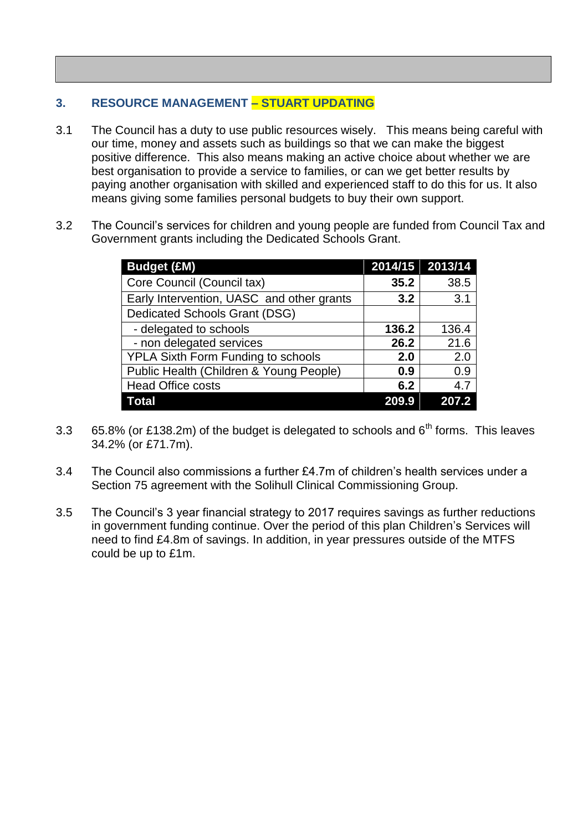#### **3. RESOURCE MANAGEMENT – STUART UPDATING**

- 3.1 The Council has a duty to use public resources wisely. This means being careful with our time, money and assets such as buildings so that we can make the biggest positive difference. This also means making an active choice about whether we are best organisation to provide a service to families, or can we get better results by paying another organisation with skilled and experienced staff to do this for us. It also means giving some families personal budgets to buy their own support.
- 3.2 The Council's services for children and young people are funded from Council Tax and Government grants including the Dedicated Schools Grant.

| <b>Budget (£M)</b>                        | 2014/15 2013/14 |       |
|-------------------------------------------|-----------------|-------|
| Core Council (Council tax)                | 35.2            | 38.5  |
| Early Intervention, UASC and other grants | 3.2             | 3.1   |
| Dedicated Schools Grant (DSG)             |                 |       |
| - delegated to schools                    | 136.2           | 136.4 |
| - non delegated services                  | 26.2            | 21.6  |
| YPLA Sixth Form Funding to schools        | 2.0             | 2.0   |
| Public Health (Children & Young People)   | 0.9             | 0.9   |
| <b>Head Office costs</b>                  | 6.2             | 4.7   |
| Total                                     | 209.9           | 207.2 |

- 3.3 65.8% (or £138.2m) of the budget is delegated to schools and  $6<sup>th</sup>$  forms. This leaves 34.2% (or £71.7m).
- 3.4 The Council also commissions a further £4.7m of children's health services under a Section 75 agreement with the Solihull Clinical Commissioning Group.
- 3.5 The Council's 3 year financial strategy to 2017 requires savings as further reductions in government funding continue. Over the period of this plan Children's Services will need to find £4.8m of savings. In addition, in year pressures outside of the MTFS could be up to £1m.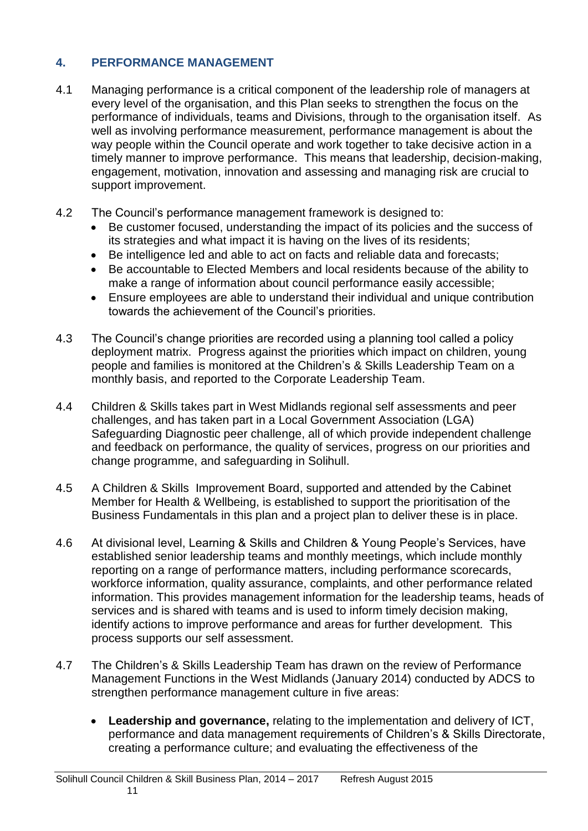# **4. PERFORMANCE MANAGEMENT**

- 4.1 Managing performance is a critical component of the leadership role of managers at every level of the organisation, and this Plan seeks to strengthen the focus on the performance of individuals, teams and Divisions, through to the organisation itself. As well as involving performance measurement, performance management is about the way people within the Council operate and work together to take decisive action in a timely manner to improve performance. This means that leadership, decision-making, engagement, motivation, innovation and assessing and managing risk are crucial to support improvement.
- 4.2 The Council's performance management framework is designed to:
	- Be customer focused, understanding the impact of its policies and the success of its strategies and what impact it is having on the lives of its residents;
	- Be intelligence led and able to act on facts and reliable data and forecasts;
	- Be accountable to Elected Members and local residents because of the ability to make a range of information about council performance easily accessible;
	- Ensure employees are able to understand their individual and unique contribution towards the achievement of the Council's priorities.
- 4.3 The Council's change priorities are recorded using a planning tool called a policy deployment matrix. Progress against the priorities which impact on children, young people and families is monitored at the Children's & Skills Leadership Team on a monthly basis, and reported to the Corporate Leadership Team.
- 4.4 Children & Skills takes part in West Midlands regional self assessments and peer challenges, and has taken part in a Local Government Association (LGA) Safeguarding Diagnostic peer challenge, all of which provide independent challenge and feedback on performance, the quality of services, progress on our priorities and change programme, and safeguarding in Solihull.
- 4.5 A Children & Skills Improvement Board, supported and attended by the Cabinet Member for Health & Wellbeing, is established to support the prioritisation of the Business Fundamentals in this plan and a project plan to deliver these is in place.
- 4.6 At divisional level, Learning & Skills and Children & Young People's Services, have established senior leadership teams and monthly meetings, which include monthly reporting on a range of performance matters, including performance scorecards, workforce information, quality assurance, complaints, and other performance related information. This provides management information for the leadership teams, heads of services and is shared with teams and is used to inform timely decision making, identify actions to improve performance and areas for further development. This process supports our self assessment.
- 4.7 The Children's & Skills Leadership Team has drawn on the review of Performance Management Functions in the West Midlands (January 2014) conducted by ADCS to strengthen performance management culture in five areas:
	- **Leadership and governance,** relating to the implementation and delivery of ICT, performance and data management requirements of Children's & Skills Directorate, creating a performance culture; and evaluating the effectiveness of the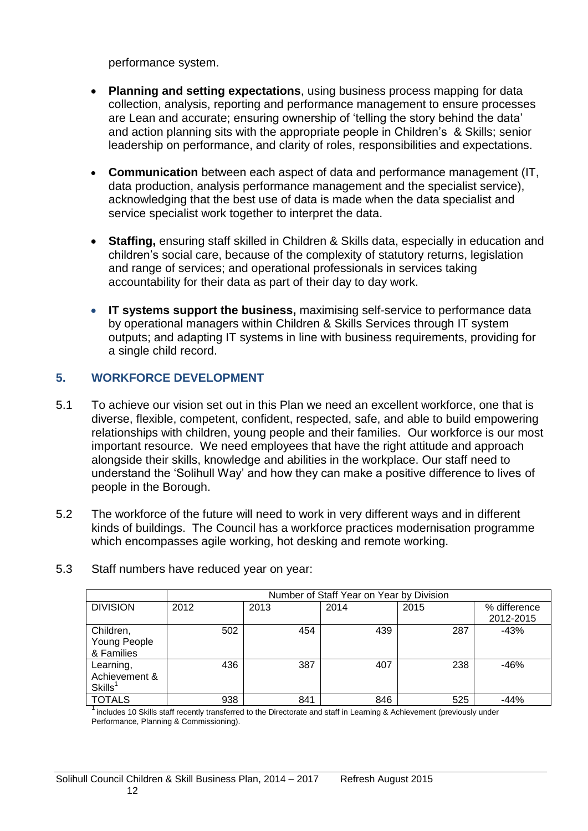performance system.

- **Planning and setting expectations**, using business process mapping for data collection, analysis, reporting and performance management to ensure processes are Lean and accurate; ensuring ownership of 'telling the story behind the data' and action planning sits with the appropriate people in Children's & Skills; senior leadership on performance, and clarity of roles, responsibilities and expectations.
- **Communication** between each aspect of data and performance management (IT, data production, analysis performance management and the specialist service), acknowledging that the best use of data is made when the data specialist and service specialist work together to interpret the data.
- **Staffing,** ensuring staff skilled in Children & Skills data, especially in education and children's social care, because of the complexity of statutory returns, legislation and range of services; and operational professionals in services taking accountability for their data as part of their day to day work.
- **IT systems support the business,** maximising self-service to performance data by operational managers within Children & Skills Services through IT system outputs; and adapting IT systems in line with business requirements, providing for a single child record.

# **5. WORKFORCE DEVELOPMENT**

- 5.1 To achieve our vision set out in this Plan we need an excellent workforce, one that is diverse, flexible, competent, confident, respected, safe, and able to build empowering relationships with children, young people and their families. Our workforce is our most important resource. We need employees that have the right attitude and approach alongside their skills, knowledge and abilities in the workplace. Our staff need to understand the 'Solihull Way' and how they can make a positive difference to lives of people in the Borough.
- 5.2 The workforce of the future will need to work in very different ways and in different kinds of buildings. The Council has a workforce practices modernisation programme which encompasses agile working, hot desking and remote working.

|                                                   | Number of Staff Year on Year by Division |      |      |      |                           |
|---------------------------------------------------|------------------------------------------|------|------|------|---------------------------|
| <b>DIVISION</b>                                   | 2012                                     | 2013 | 2014 | 2015 | % difference<br>2012-2015 |
| Children,<br>Young People<br>& Families           | 502                                      | 454  | 439  | 287  | $-43%$                    |
| Learning,<br>Achievement &<br>Skills <sup>1</sup> | 436                                      | 387  | 407  | 238  | $-46%$                    |
| <b>TOTALS</b>                                     | 938                                      | 841  | 846  | 525  | -44%                      |

5.3 Staff numbers have reduced year on year:

<sup>1</sup> includes 10 Skills staff recently transferred to the Directorate and staff in Learning & Achievement (previously under Performance, Planning & Commissioning).